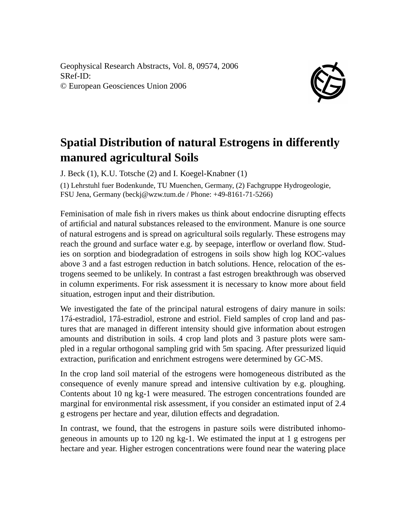Geophysical Research Abstracts, Vol. 8, 09574, 2006 SRef-ID: © European Geosciences Union 2006



## **Spatial Distribution of natural Estrogens in differently manured agricultural Soils**

J. Beck (1), K.U. Totsche (2) and I. Koegel-Knabner (1)

(1) Lehrstuhl fuer Bodenkunde, TU Muenchen, Germany, (2) Fachgruppe Hydrogeologie, FSU Jena, Germany (beckj@wzw.tum.de / Phone: +49-8161-71-5266)

Feminisation of male fish in rivers makes us think about endocrine disrupting effects of artificial and natural substances released to the environment. Manure is one source of natural estrogens and is spread on agricultural soils regularly. These estrogens may reach the ground and surface water e.g. by seepage, interflow or overland flow. Studies on sorption and biodegradation of estrogens in soils show high log KOC-values above 3 and a fast estrogen reduction in batch solutions. Hence, relocation of the estrogens seemed to be unlikely. In contrast a fast estrogen breakthrough was observed in column experiments. For risk assessment it is necessary to know more about field situation, estrogen input and their distribution.

We investigated the fate of the principal natural estrogens of dairy manure in soils: 17á-estradiol, 17â-estradiol, estrone and estriol. Field samples of crop land and pastures that are managed in different intensity should give information about estrogen amounts and distribution in soils. 4 crop land plots and 3 pasture plots were sampled in a regular orthogonal sampling grid with 5m spacing. After pressurized liquid extraction, purification and enrichment estrogens were determined by GC-MS.

In the crop land soil material of the estrogens were homogeneous distributed as the consequence of evenly manure spread and intensive cultivation by e.g. ploughing. Contents about 10 ng kg-1 were measured. The estrogen concentrations founded are marginal for environmental risk assessment, if you consider an estimated input of 2.4 g estrogens per hectare and year, dilution effects and degradation.

In contrast, we found, that the estrogens in pasture soils were distributed inhomogeneous in amounts up to 120 ng kg-1. We estimated the input at 1 g estrogens per hectare and year. Higher estrogen concentrations were found near the watering place